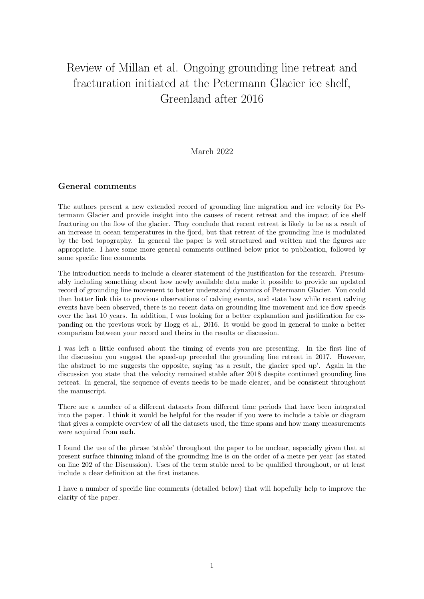# Review of Millan et al. Ongoing grounding line retreat and fracturation initiated at the Petermann Glacier ice shelf, Greenland after 2016

## March 2022

## General comments

The authors present a new extended record of grounding line migration and ice velocity for Petermann Glacier and provide insight into the causes of recent retreat and the impact of ice shelf fracturing on the flow of the glacier. They conclude that recent retreat is likely to be as a result of an increase in ocean temperatures in the fjord, but that retreat of the grounding line is modulated by the bed topography. In general the paper is well structured and written and the figures are appropriate. I have some more general comments outlined below prior to publication, followed by some specific line comments.

The introduction needs to include a clearer statement of the justification for the research. Presumably including something about how newly available data make it possible to provide an updated record of grounding line movement to better understand dynamics of Petermann Glacier. You could then better link this to previous observations of calving events, and state how while recent calving events have been observed, there is no recent data on grounding line movement and ice flow speeds over the last 10 years. In addition, I was looking for a better explanation and justification for expanding on the previous work by Hogg et al., 2016. It would be good in general to make a better comparison between your record and theirs in the results or discussion.

I was left a little confused about the timing of events you are presenting. In the first line of the discussion you suggest the speed-up preceded the grounding line retreat in 2017. However, the abstract to me suggests the opposite, saying 'as a result, the glacier sped up'. Again in the discussion you state that the velocity remained stable after 2018 despite continued grounding line retreat. In general, the sequence of events needs to be made clearer, and be consistent throughout the manuscript.

There are a number of a different datasets from different time periods that have been integrated into the paper. I think it would be helpful for the reader if you were to include a table or diagram that gives a complete overview of all the datasets used, the time spans and how many measurements were acquired from each.

I found the use of the phrase 'stable' throughout the paper to be unclear, especially given that at present surface thinning inland of the grounding line is on the order of a metre per year (as stated on line 202 of the Discussion). Uses of the term stable need to be qualified throughout, or at least include a clear definition at the first instance.

I have a number of specific line comments (detailed below) that will hopefully help to improve the clarity of the paper.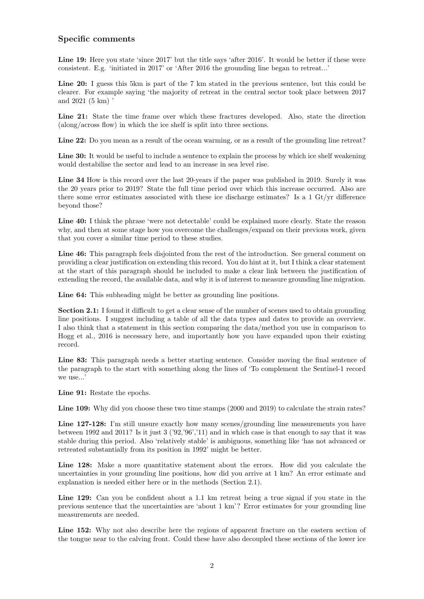#### Specific comments

Line 19: Here you state 'since 2017' but the title says 'after 2016'. It would be better if these were consistent. E.g. 'initiated in 2017' or 'After 2016 the grounding line began to retreat...'

Line 20: I guess this 5km is part of the 7 km stated in the previous sentence, but this could be clearer. For example saying 'the majority of retreat in the central sector took place between 2017 and 2021 (5 km) '

Line 21: State the time frame over which these fractures developed. Also, state the direction (along/across flow) in which the ice shelf is split into three sections.

Line 22: Do you mean as a result of the ocean warming, or as a result of the grounding line retreat?

Line 30: It would be useful to include a sentence to explain the process by which ice shelf weakening would destabilise the sector and lead to an increase in sea level rise.

Line 34 How is this record over the last 20-years if the paper was published in 2019. Surely it was the 20 years prior to 2019? State the full time period over which this increase occurred. Also are there some error estimates associated with these ice discharge estimates? Is a 1 Gt/yr difference beyond those?

Line 40: I think the phrase 'were not detectable' could be explained more clearly. State the reason why, and then at some stage how you overcome the challenges/expand on their previous work, given that you cover a similar time period to these studies.

Line 46: This paragraph feels disjointed from the rest of the introduction. See general comment on providing a clear justification on extending this record. You do hint at it, but I think a clear statement at the start of this paragraph should be included to make a clear link between the justification of extending the record, the available data, and why it is of interest to measure grounding line migration.

Line 64: This subheading might be better as grounding line positions.

Section 2.1: I found it difficult to get a clear sense of the number of scenes used to obtain grounding line positions. I suggest including a table of all the data types and dates to provide an overview. I also think that a statement in this section comparing the data/method you use in comparison to Hogg et al., 2016 is necessary here, and importantly how you have expanded upon their existing record.

Line 83: This paragraph needs a better starting sentence. Consider moving the final sentence of the paragraph to the start with something along the lines of 'To complement the Sentinel-1 record we use...'

Line 91: Restate the epochs.

Line 109: Why did you choose these two time stamps (2000 and 2019) to calculate the strain rates?

Line 127-128: I'm still unsure exactly how many scenes/grounding line measurements you have between 1992 and 2011? Is it just 3 ('92,'96','11) and in which case is that enough to say that it was stable during this period. Also 'relatively stable' is ambiguous, something like 'has not advanced or retreated substantially from its position in 1992' might be better.

Line 128: Make a more quantitative statement about the errors. How did you calculate the uncertainties in your grounding line positions, how did you arrive at 1 km? An error estimate and explanation is needed either here or in the methods (Section 2.1).

Line 129: Can you be confident about a 1.1 km retreat being a true signal if you state in the previous sentence that the uncertainties are 'about 1 km'? Error estimates for your grounding line measurements are needed.

Line 152: Why not also describe here the regions of apparent fracture on the eastern section of the tongue near to the calving front. Could these have also decoupled these sections of the lower ice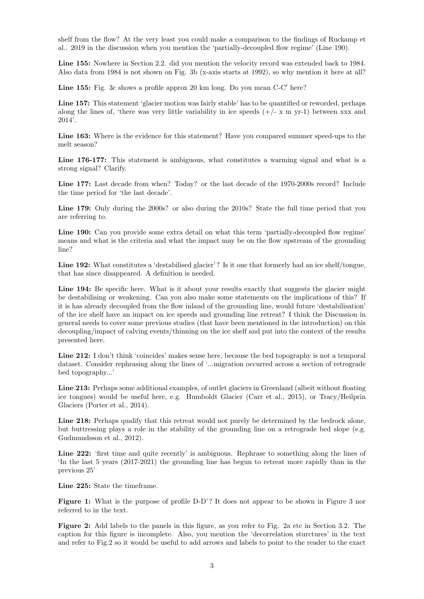shelf from the flow? At the very least you could make a comparison to the findings of Ruckamp et al.. 2019 in the discussion when you mention the 'partially-decoupled flow regime' (Line 190).

Line 155: Nowhere in Section 2.2. did you mention the velocity record was extended back to 1984. Also data from 1984 is not shown on Fig. 3b (x-axis starts at 1992), so why mention it here at all?

Line 155: Fig. 3c shows a profile approx 20 km long. Do you mean C-C' here?

Line 157: This statement 'glacier motion was fairly stable' has to be quantified or reworded, perhaps along the lines of, 'there was very little variability in ice speeds  $(+/- x m yr-1)$  between xxx and 2014'.

Line 163: Where is the evidence for this statement? Have you compared summer speed-ups to the melt season?

Line 176-177: This statement is ambiguous, what constitutes a warming signal and what is a strong signal? Clarify.

Line 177: Last decade from when? Today? or the last decade of the 1970-2000s record? Include the time period for 'the last decade'.

Line 179: Only during the 2000s? or also during the 2010s? State the full time period that you are referring to.

Line 190: Can you provide some extra detail on what this term 'partially-decoupled flow regime' means and what is the criteria and what the impact may be on the flow upstream of the grounding line?

Line 192: What constitutes a 'destabilised glacier'? Is it one that formerly had an ice shelf/tongue, that has since disappeared. A definition is needed.

Line 194: Be specific here. What is it about your results exactly that suggests the glacier might be destabilising or weakening. Can you also make some statements on the implications of this? If it is has already decoupled from the flow inland of the grounding line, would future 'destabilisation' of the ice shelf have an impact on ice speeds and grounding line retreat? I think the Discussion in general needs to cover some previous studies (that have been mentioned in the introduction) on this decoupling/impact of calving events/thinning on the ice shelf and put into the context of the results presented here.

Line 212: I don't think 'coincides' makes sense here, because the bed topography is not a temporal dataset. Consider rephrasing along the lines of '...migration occurred across a section of retrograde bed topography...'

Line 213: Perhaps some additional examples, of outlet glaciers in Greenland (albeit without floating ice tongues) would be useful here, e.g. Humboldt Glacier (Carr et al., 2015), or Tracy/Heilprin Glaciers (Porter et al., 2014).

Line 218: Perhaps qualify that this retreat would not purely be determined by the bedrock alone, but buttressing plays a role in the stability of the grounding line on a retrograde bed slope (e.g. Gudmundsson et al., 2012).

Line 222: 'first time and quite recently' is ambiguous. Rephrase to something along the lines of 'In the last 5 years (2017-2021) the grounding line has begun to retreat more rapidly than in the previous 25'

Line 225: State the timeframe.

Figure 1: What is the purpose of profile D-D'? It does not appear to be shown in Figure 3 nor referred to in the text.

Figure 2: Add labels to the panels in this figure, as you refer to Fig. 2a etc in Section 3.2. The caption for this figure is incomplete. Also, you mention the 'decorrelation sturctures' in the text and refer to Fig.2 so it would be useful to add arrows and labels to point to the reader to the exact